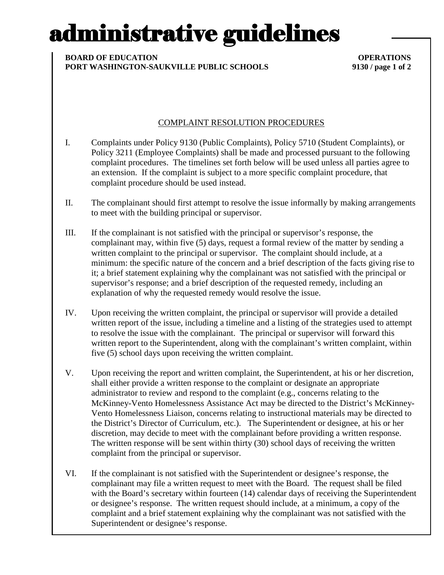# administrative guidelines

### **BOARD OF EDUCATION OPERATIONS PORT WASHINGTON-SAUKVILLE PUBLIC SCHOOLS 9130 / page 1 of 2**

## COMPLAINT RESOLUTION PROCEDURES

- I. Complaints under Policy 9130 (Public Complaints), Policy 5710 (Student Complaints), or Policy 3211 (Employee Complaints) shall be made and processed pursuant to the following complaint procedures. The timelines set forth below will be used unless all parties agree to an extension. If the complaint is subject to a more specific complaint procedure, that complaint procedure should be used instead.
- II. The complainant should first attempt to resolve the issue informally by making arrangements to meet with the building principal or supervisor.
- III. If the complainant is not satisfied with the principal or supervisor's response, the complainant may, within five (5) days, request a formal review of the matter by sending a written complaint to the principal or supervisor. The complaint should include, at a minimum: the specific nature of the concern and a brief description of the facts giving rise to it; a brief statement explaining why the complainant was not satisfied with the principal or supervisor's response; and a brief description of the requested remedy, including an explanation of why the requested remedy would resolve the issue.
- IV. Upon receiving the written complaint, the principal or supervisor will provide a detailed written report of the issue, including a timeline and a listing of the strategies used to attempt to resolve the issue with the complainant. The principal or supervisor will forward this written report to the Superintendent, along with the complainant's written complaint, within five (5) school days upon receiving the written complaint.
- V. Upon receiving the report and written complaint, the Superintendent, at his or her discretion, shall either provide a written response to the complaint or designate an appropriate administrator to review and respond to the complaint (e.g., concerns relating to the McKinney-Vento Homelessness Assistance Act may be directed to the District's McKinney-Vento Homelessness Liaison, concerns relating to instructional materials may be directed to the District's Director of Curriculum, etc.). The Superintendent or designee, at his or her discretion, may decide to meet with the complainant before providing a written response. The written response will be sent within thirty (30) school days of receiving the written complaint from the principal or supervisor.
- VI. If the complainant is not satisfied with the Superintendent or designee's response, the complainant may file a written request to meet with the Board. The request shall be filed with the Board's secretary within fourteen (14) calendar days of receiving the Superintendent or designee's response. The written request should include, at a minimum, a copy of the complaint and a brief statement explaining why the complainant was not satisfied with the Superintendent or designee's response.